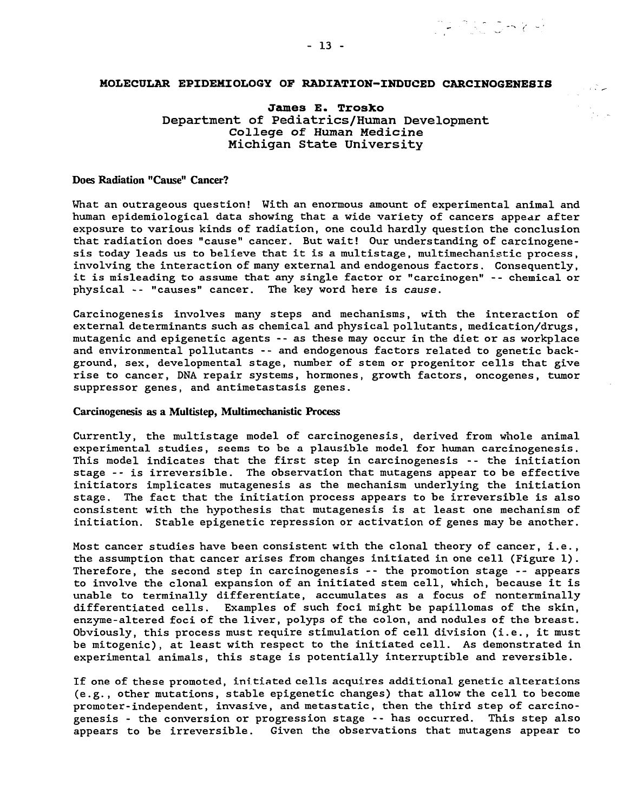## **MOLECULAR EPIDEMIOLOGY OF RADIATION-INDUCED CARCINOGENESIS**

**James E. Trosko** Department of Pediatrics/Human Development College of Human Medicine Michigan State University

### **Does Radiation "Cause" Cancer?**

What an outrageous question! With an enormous amount of experimental animal and human epidemiological data showing that a wide variety of cancers appear after exposure to various kinds of radiation, one could hardly question the conclusion that radiation does "cause" cancer. But wait! Our understanding of carcinogenesis today leads us to believe that it is a multistage, multimechanistic process, involving the interaction of many external and endogenous factors. Consequently, it is misleading to assume that any single factor or "carcinogen" -- chemical or physical -- "causes" cancer. The key word here is cause.

Carcinogenesis involves many steps and mechanisms, with the interaction of external determinants such as chemical and physical pollutants, medication/drugs, mutagenic and epigenetic agents --as these may occur in the diet or as workplace and environmental pollutants -- and endogenous factors related to genetic background, sex, developmental stage, number of stem or progenitor cells that give rise to cancer, DNA repair systems, hormones, growth factors, oncogenes, tumor suppressor genes, and antimetastasis genes.

### **Carcinogenesis as a Multistep, Multimechanistic Process**

Currently, the multistage model of carcinogenesis, derived from whole animal experimental studies, seems to be a plausible model for human carcinogenesis. This model indicates that the first step in carcinogenesis -- the initiation stage --is irreversible. The observation that mutagens appear to be effective initiators implicates mutagenesis as the mechanism underlying the initiation stage. The fact that the initiation process appears to be irreversible is also consistent with the hypothesis that mutagenesis is at least one mechanism of initiation. Stable epigenetic repression or activation of genes may be another.

Most cancer studies have been consistent with the clonal theory of cancer, i.e. , the assumption that cancer arises from changes initiated in one cell (Figure 1). Therefore, the second step in carcinogenesis -- the promotion stage -- appears to involve the clonal expansion of an initiated stem cell, which, because it is unable to terminally differentiate, accumulates as a focus of nonterminally differentiated cells. Examples of such foci might be papillomas of the skin, enzyme-altered foci of the liver, polyps of the colon, and nodules of the breast. Obviously, this process must require stimulation of cell division (i.e. , it must be mitogenic), at least with respect to the initiated cell. As demonstrated in experimental animals, this stage is potentially interruptible and reversible.

If one of these promoted, initiated cells acquires additional genetic alterations (e.g., other mutations, stable epigenetic changes) that allow the cell to become promoter-independent, invasive, and metastatic, then the third step of carcinogenesis - the conversion or progression stage -- has occurred. This step also appears to be irreversible. Given the observations that mutagens appear to

na inan gelak kir

 $\epsilon_1$  .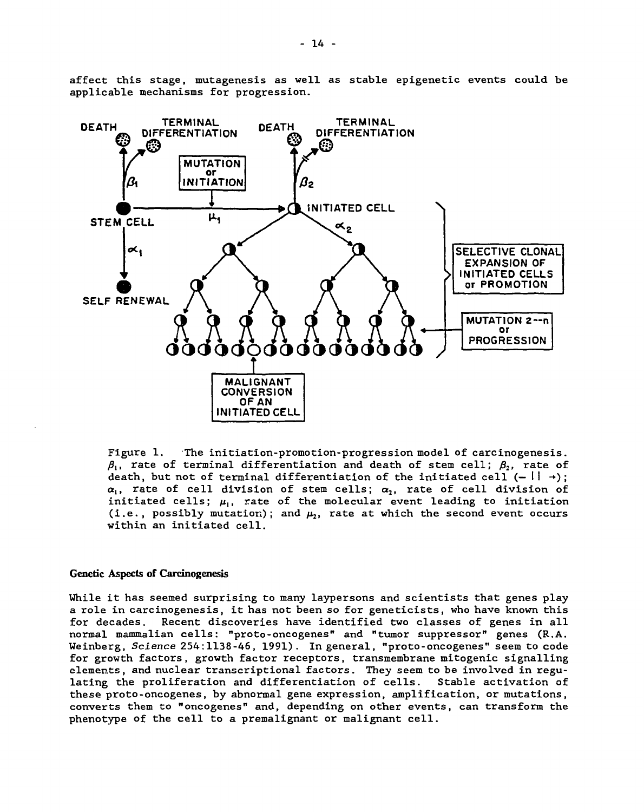affect this stage, mutagenesis as well as stable epigenetic events could be applicable mechanisms for progression.



Figure 1. The initiation-promotion-progression model of carcinogenesis.  $\beta_1$ , rate of terminal differentiation and death of stem cell;  $\beta_2$ , rate of death, but not of terminal differentiation of the initiated cell  $(- \mid \cdot \rangle)$ ;  $\alpha_1$ , rate of cell division of stem cells;  $\alpha_2$ , rate of cell division of initiated cells;  $\mu_i$ , rate of the molecular event leading to initiation (i.e., possibly mutation); and  $\mu_2$ , rate at which the second event occurs within an initiated cell.

### **Genetic Aspects of Carcinogenesis**

While it has seemed surprising to many laypersons and scientists that genes play a role in carcinogenesis, it has not been so for geneticists, who have known this for decades. Recent discoveries have identified two classes of genes in all normal mammalian cells: "proto-oncogenes" and "tumor suppressor" genes (R.A. Weinberg, Science 254:1138-46, 1991). In general, "proto-oncogenes" seem to code for growth factors, growth factor receptors, transmembrane mitogenic signalling elements, and nuclear transcriptional factors. They seem to be involved in regulating the proliferation and differentiation of cells. Stable activation of these proto-oncogenes, by abnormal gene expression, amplification, or mutations, converts them to "oncogenes" and, depending on other events, can transform the phenotype of the cell to a premalignant or malignant cell.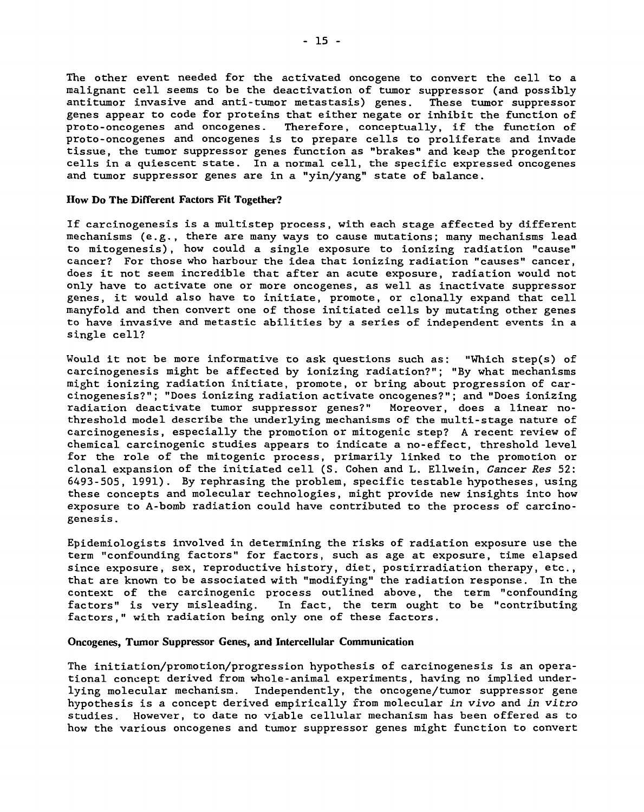The other event needed for the activated oncogene to convert the cell to a malignant cell seems to be the deactivation of tumor suppressor (and possibly antitumor invasive and anti-tumor metastasis) genes. These tumor suppressor genes appear to code for proteins that either negate or inhibit the function of proto-oncogenes and oncogenes. Therefore, conceptually, if the function of proto-oncogenes and oncogenes is to prepare cells to proliferate and invade tissue, the tumor suppressor genes function as "brakes" and keep the progenitor cells in a quiescent state. In a normal cell, the specific expressed oncogenes and tumor suppressor genes are in a "yin/yang" state of balance.

#### **How Do The Different Factors Fit Together?**

If carcinogenesis is a multistep process, with each stage affected by different mechanisms (e.g., there are many ways to cause mutations; many mechanisms lead to mitogenesis), how could a single exposure to ionizing radiation "cause" cancer? For those who harbour the idea that ionizing radiation "causes" cancer, does it not seem incredible that after an acute exposure, radiation would not only have to activate one or more oncogenes, as well as inactivate suppressor genes, it would also have to initiate, promote, or clonally expand that cell manyfold and then convert one of those initiated cells by mutating other genes to have invasive and metastic abilities by a series of independent events in a single cell?

Would it not be more informative to ask questions such as: "Which step(s) of carcinogenesis might be affected by ionizing radiation?"; "By what mechanisms might ionizing radiation initiate, promote, or bring about progression of carcinogenesis?"; "Does ionizing radiation activate oncogenes?"; and "Does ionizing radiation deactivate tumor suppressor genes?" Moreover, does a linear nothreshold model describe the underlying mechanisms of the multi-stage nature of carcinogenesis, especially the promotion or mitogenic step? A recent review of chemical carcinogenic studies appears to indicate a no-effect, threshold level for the role of the mitogenic process, primarily linked to the promotion or clonal expansion of the initiated cell (S. Cohen and L. Ellwein, Cancer Res 52: 6493-505, 1991). By rephrasing the problem, specific testable hypotheses, using these concepts and molecular technologies, might provide new insights into how exposure to A-bomb radiation could have contributed to the process of carcinogenesis .

Epidemiologists involved in determining the risks of radiation exposure use the term "confounding factors" for factors, such as age at exposure, time elapsed since exposure, sex, reproductive history, diet, postirradiation therapy, etc., that are known to be associated with "modifying" the radiation response. In the context of the carcinogenic process outlined above, the term "confounding factors" is very misleading. In fact, the term ought to be "contributing factors," with radiation being only one of these factors.

### **Oncogenes, Tumor Suppressor Genes, and Intercellular Communication**

The initiation/promotion/progression hypothesis of carcinogenesis is an operational concept derived from whole-animal experiments, having no implied underlying molecular mechanism. Independently, the oncogene/tumor suppressor gene hypothesis is a concept derived empirically from molecular in vivo and in vitro studies. However, to date no viable cellular mechanism has been offered as to how the various oncogenes and tumor suppressor genes might function to convert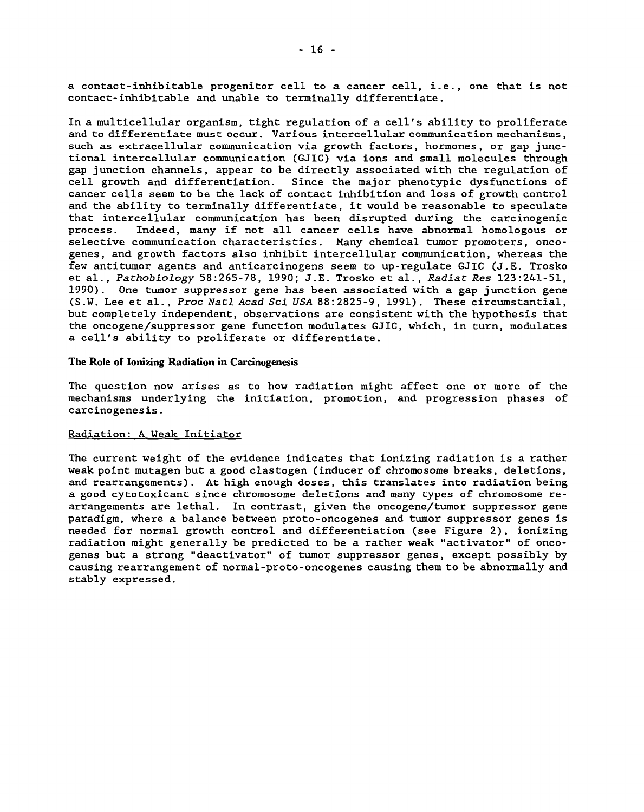a contact-inhibitable progenitor cell to a cancer cell, i.e., one that is not contact-inhibitable and unable to terminally differentiate.

In a multicellular organism, tight regulation of a cell's ability to proliferate and to differentiate must occur. Various intercellular communication mechanisms, such as extracellular communication via growth factors, hormones, or gap junctional intercellular communication (GJIC) via ions and small molecules through gap junction channels, appear to be directly associated with the regulation of cell growth and differentiation. Since the major phenotypic dysfunctions of cancer cells seem to be the lack of contact inhibition and loss of growth control and the ability to terminally differentiate, it would be reasonable to speculate that intercellular communication has been disrupted during the carcinogenic process. Indeed, many if not all cancer cells have abnormal homologous or selective communication characteristics. Many chemical tumor promoters, oncogenes, and growth factors also inhibit intercellular communication, whereas the few antitumor agents and anticarcinogens seem to up-regulate GJIC (J.E. Trosko et al., Pathobiology 58:265-78, 1990; J.E. Trosko et al., Radiat Res 123:241-51, 1990). One tumor suppressor gene has been associated with a gap junction gene (S.W. Lee et al. , Proc Natl Acad Scl USA 88:2825-9, 1991). These circumstantial, but completely independent, observations are consistent with the hypothesis that the oncogene/suppressor gene function modulates GJIC, which, in turn, modulates a cell's ability to proliferate or differentiate.

# **The Role of Ionizing Radiation in Carcinogenesis**

The question now arises as to how radiation might affect one or more of the mechanisms underlying the initiation, promotion, and progression phases of carcinogenesis.

# Radiation: A Weak Initiator

The current weight of the evidence indicates that ionizing radiation is a rather weak point mutagen but a good clastogen (inducer of chromosome breaks, deletions, and rearrangements). At high enough doses, this translates into radiation being a good cytotoxicant since chromosome deletions and many types of chromosome rearrangements are lethal. In contrast, given the oncogene/tumor suppressor gene paradigm, where a balance between proto-oncogenes and tumor suppressor genes is needed for normal growth control and differentiation (see Figure 2) , ionizing radiation might generally be predicted to be a rather weak "activator" of oncogenes but a strong "deactivator" of tumor suppressor genes, except possibly by causing rearrangement of normal-proto-oncogenes causing them to be abnormally and stably expressed.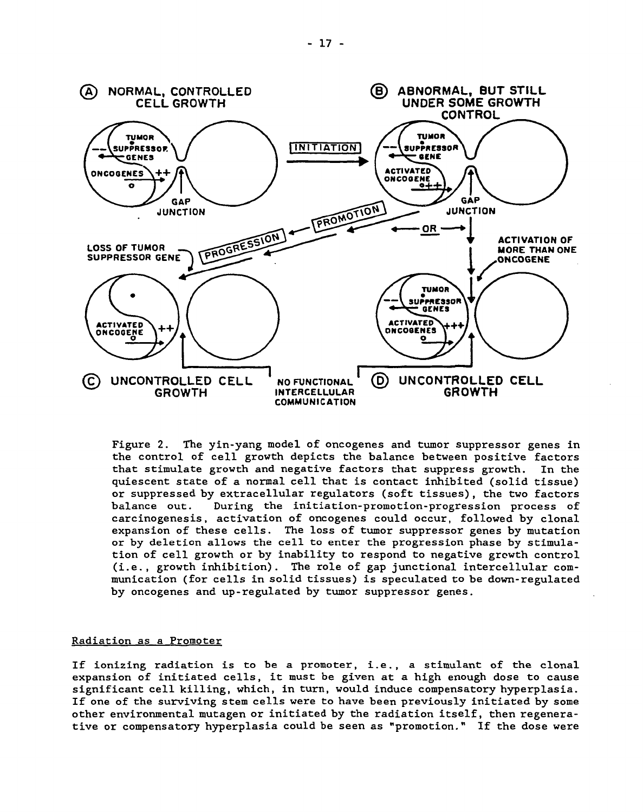

Figure 2. The yin-yang model of oncogenes and tumor suppressor genes in the control of cell growth depicts the balance between positive factors that stimulate growth and negative factors that suppress growth. In the quiescent state of a normal cell that is contact inhibited (solid tissue) or suppressed by extracellular regulators (soft tissues), the two factors balance out. During the initiation-promotion-progression process of carcinogenesis, activation of oncogenes could occur, followed by clonal expansion of these cells. The loss of tumor suppressor genes by mutation or by deletion allows the cell to enter the progression phase by stimulation of cell growth or by inability to respond to negative growth control (i.e., growth inhibition). The role of gap junctional intercellular communication (for cells in solid tissues) is speculated to be down-regulated by oncogenes and up-regulated by tumor suppressor genes.

# Radiation as a Promoter

If ionizing radiation is to be a promoter, i.e., a stimulant of the clonal expansion of initiated cells, it must be given at a high enough dose to cause significant cell killing, which, in turn, would induce compensatory hyperplasia. If one of the surviving stem cells were to have been previously initiated by some other environmental mutagen or initiated by the radiation itself, then regenerative or compensatory hyperplasia could be seen as "promotion." If the dose were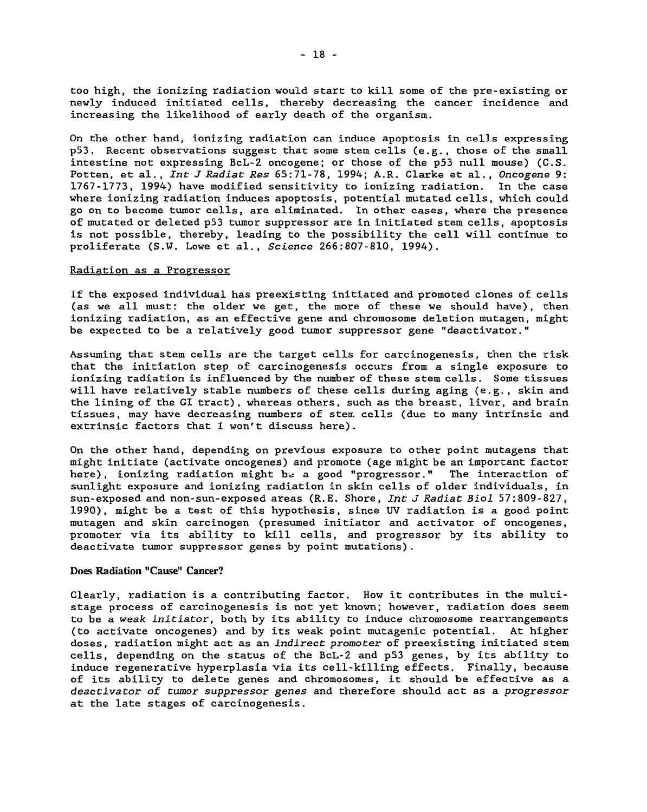too high, the ionizing radiation would start to kill some of the pre-existing or newly induced initiated cells, thereby decreasing the cancer incidence and increasing the likelihood of early death of the organism.

On the other hand, ionizing radiation can induce apoptosis in cells expressing p53. Recent observations suggest that some stem cells (e.g., those of the small intestine not expressing BcL-2 oncogene; or those of the p53 null mouse) (C.S. Potten, et al., *Int J Radiat Res* 65:71-78, 1994; A.R. Clarke et al., Oncogene 9: 1767-1773, 1994) have modified sensitivity to ionizing radiation. In the case where ionizing radiation induces apoptosis, potential mutated cells, which could go on to become tumor cells, are eliminated. In other cases, where the presence of mutated or deleted p53 tumor suppressor are in initiated stem cells, apoptosis is not possible, thereby, leading to the possibility the cell will continue to proliferate (S.W. Lowe et al., Science 266:807-810, 1994).

### Radiation as a Progressor

If the exposed individual has preexisting initiated and promoted clones of cells (as we all must: the older we get, the more of these we should have), then ionizing radiation, as an effective gene and chromosome deletion mutagen, might be expected to be a relatively good tumor suppressor gene "deactivator."

Assuming that stem cells are the target cells for carcinogenesis, then the risk that the initiation step of carcinogenesis occurs from a single exposure to ionizing radiation is influenced by the number of these stem cells. Some tissues will have relatively stable numbers of these cells during aging (e.g., skin and the lining of the GI tract) , whereas others, such as the breast, liver, and brain tissues, may have decreasing numbers of sten. cells (due to many intrinsic and extrinsic factors that I won't discuss here).

On the other hand, depending on previous exposure to other point mutagens that might initiate (activate oncogenes) and promote (age might be an important factor here), ionizing radiation might be a good "progressor." The interaction of sunlight exposure and ionizing radiation in skin cells of older individuals, in sun-exposed and non-sun-exposed areas (R.E. Shore, Int J Radiat Biol 57:809-827, 1990), might be a test of this hypothesis, since UV radiation is a good point mutagen and skin carcinogen (presumed initiator and activator of oncogenes, promoter via its ability to kill cells, and progressor by its ability to deactivate tumor suppressor genes by point mutations).

## **Does Radiation "Cause" Cancer?**

Clearly, radiation is a contributing factor. How it contributes in the multistage process of carcinogenesis is not yet known; however, radiation does seem to be a weak initiator, both by its ability to induce chromosome rearrangements (to activate oncogenes) and by its weak point mutagenic potential. At higher doses, radiation might act as an *indirect promoter* of preexisting initiated stem cells, depending on the status of the BcL-2 and p53 genes, by its ability to induce regenerative hyperplasia via its cell-killing effects. Finally, because of its ability to delete genes and chromosomes, it should be effective as a deactivator of tumor suppressor genes and therefore should act as a progressor at the late stages of carcinogenesis.